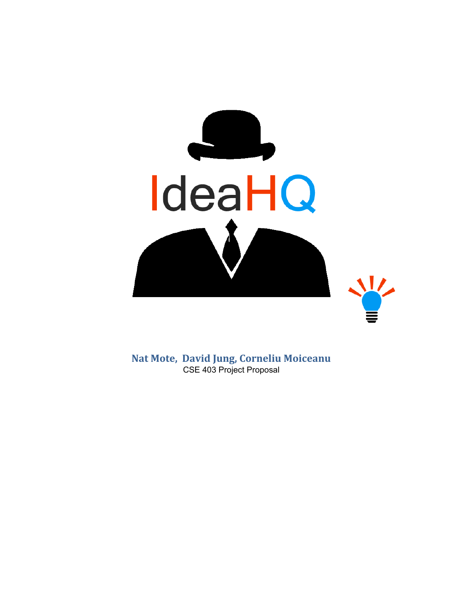

**Nat Mote, David Jung, Corneliu Moiceanu** CSE 403 Project Proposal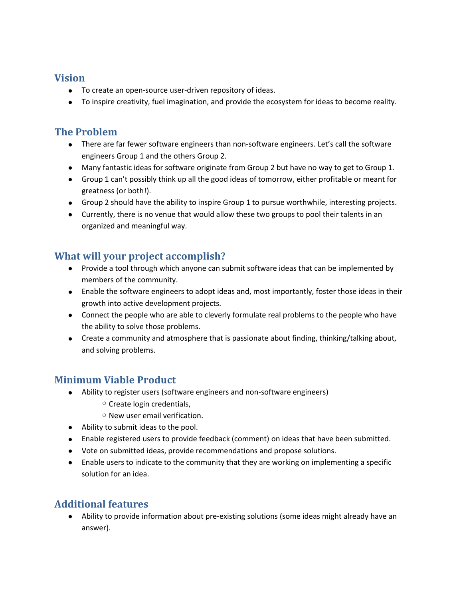#### **Vision**

- To create an open-source user-driven repository of ideas.
- To inspire creativity, fuel imagination, and provide the ecosystem for ideas to become reality.

## **The Problem**

- There are far fewer software engineers than non-software engineers. Let's call the software engineers Group 1 and the others Group 2.
- Many fantastic ideas for software originate from Group 2 but have no way to get to Group 1.
- Group 1 can't possibly think up all the good ideas of tomorrow, either profitable or meant for greatness (or both!).
- Group 2 should have the ability to inspire Group 1 to pursue worthwhile, interesting projects.
- Currently, there is no venue that would allow these two groups to pool their talents in an organized and meaningful way.

# **What will your project accomplish?**

- Provide a tool through which anyone can submit software ideas that can be implemented by members of the community.
- Enable the software engineers to adopt ideas and, most importantly, foster those ideas in their growth into active development projects.
- Connect the people who are able to cleverly formulate real problems to the people who have the ability to solve those problems.
- Create a community and atmosphere that is passionate about finding, thinking/talking about, and solving problems.

## **Minimum Viable Product**

- Ability to register users (software engineers and non-software engineers)
	- Create login credentials,
	- New user email verification.
- Ability to submit ideas to the pool.
- Enable registered users to provide feedback (comment) on ideas that have been submitted.
- Vote on submitted ideas, provide recommendations and propose solutions.
- Enable users to indicate to the community that they are working on implementing a specific solution for an idea.

## **Additional features**

● Ability to provide information about pre-existing solutions (some ideas might already have an answer).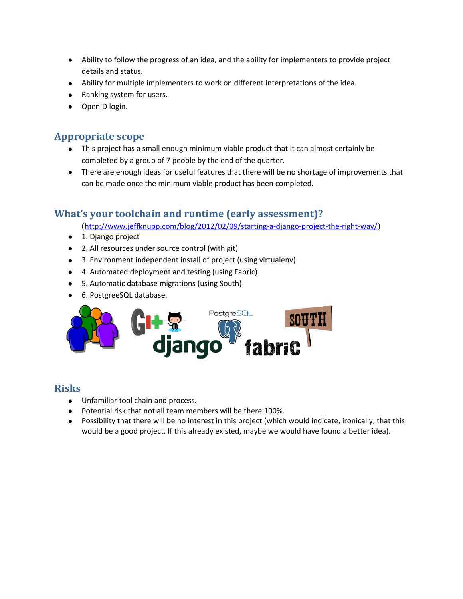- Ability to follow the progress of an idea, and the ability for implementers to provide project details and status.
- Ability for multiple implementers to work on different interpretations of the idea.
- Ranking system for users.
- OpenID login.

#### **Appropriate scope**

- This project has a small enough minimum viable product that it can almost certainly be completed by a group of 7 people by the end of the quarter.
- There are enough ideas for useful features that there will be no shortage of improvements that can be made once the minimum viable product has been completed.

## **What's your toolchain and runtime (early assessment)?**

(<http://www.jeffknupp.com/blog/2012/02/09/starting-a-django-project-the-right-way/>)

- 1. Django project
- 2. All resources under source control (with git)
- 3. Environment independent install of project (using virtualenv)
- 4. Automated deployment and testing (using Fabric)
- 5. Automatic database migrations (using South)
- 6. PostgreeSQL database.



#### **Risks**

- Unfamiliar tool chain and process.
- Potential risk that not all team members will be there 100%.
- Possibility that there will be no interest in this project (which would indicate, ironically, that this would be a good project. If this already existed, maybe we would have found a better idea).